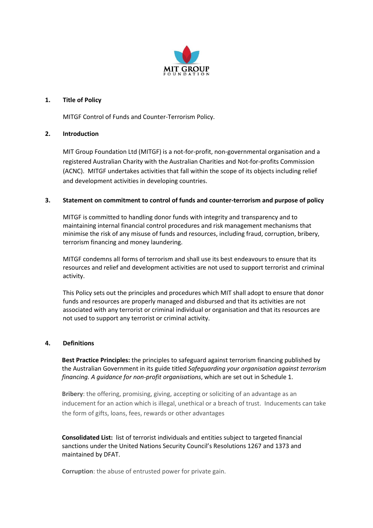

#### **1. Title of Policy**

MITGF Control of Funds and Counter-Terrorism Policy.

#### **2. Introduction**

MIT Group Foundation Ltd (MITGF) is a not-for-profit, non-governmental organisation and a registered Australian Charity with the Australian Charities and Not-for-profits Commission (ACNC). MITGF undertakes activities that fall within the scope of its objects including relief and development activities in developing countries.

#### **3. Statement on commitment to control of funds and counter-terrorism and purpose of policy**

MITGF is committed to handling donor funds with integrity and transparency and to maintaining internal financial control procedures and risk management mechanisms that minimise the risk of any misuse of funds and resources, including fraud, corruption, bribery, terrorism financing and money laundering.

MITGF condemns all forms of terrorism and shall use its best endeavours to ensure that its resources and relief and development activities are not used to support terrorist and criminal activity.

This Policy sets out the principles and procedures which MIT shall adopt to ensure that donor funds and resources are properly managed and disbursed and that its activities are not associated with any terrorist or criminal individual or organisation and that its resources are not used to support any terrorist or criminal activity.

#### **4. Definitions**

**Best Practice Principles:** the principles to safeguard against terrorism financing published by the Australian Government in its guide titled *Safeguarding your organisation against terrorism financing. A guidance for non-profit organisations*, which are set out in Schedule 1.

**Bribery**: the offering, promising, giving, accepting or soliciting of an advantage as an inducement for an action which is illegal, unethical or a breach of trust. Inducements can take the form of gifts, loans, fees, rewards or other advantages

**Consolidated List:** list of terrorist individuals and entities subject to targeted financial sanctions under the United Nations Security Council's Resolutions 1267 and 1373 and maintained by DFAT.

**Corruption**: the abuse of entrusted power for private gain.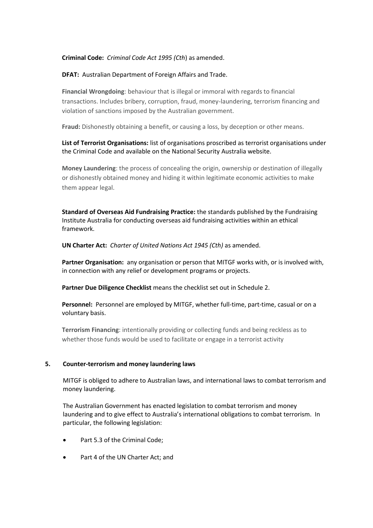#### **Criminal Code:** *Criminal Code Act 1995 (Cth*) as amended.

#### **DFAT:** Australian Department of Foreign Affairs and Trade.

**Financial Wrongdoing**: behaviour that is illegal or immoral with regards to financial transactions. Includes bribery, corruption, fraud, money-laundering, terrorism financing and violation of sanctions imposed by the Australian government.

**Fraud:** Dishonestly obtaining a benefit, or causing a loss, by deception or other means.

**List of Terrorist Organisations:** list of organisations proscribed as terrorist organisations under the Criminal Code and available on the National Security Australia website.

**Money Laundering**: the process of concealing the origin, ownership or destination of illegally or dishonestly obtained money and hiding it within legitimate economic activities to make them appear legal.

**Standard of Overseas Aid Fundraising Practice:** the standards published by the Fundraising Institute Australia for conducting overseas aid fundraising activities within an ethical framework.

**UN Charter Act:** *Charter of United Nations Act 1945 (Cth)* as amended.

**Partner Organisation:** any organisation or person that MITGF works with, or is involved with, in connection with any relief or development programs or projects.

**Partner Due Diligence Checklist** means the checklist set out in Schedule 2.

**Personnel:** Personnel are employed by MITGF, whether full-time, part-time, casual or on a voluntary basis.

**Terrorism Financing**: intentionally providing or collecting funds and being reckless as to whether those funds would be used to facilitate or engage in a terrorist activity

#### **5. Counter-terrorism and money laundering laws**

MITGF is obliged to adhere to Australian laws, and international laws to combat terrorism and money laundering.

The Australian Government has enacted legislation to combat terrorism and money laundering and to give effect to Australia's international obligations to combat terrorism. In particular, the following legislation:

- Part 5.3 of the Criminal Code;
- Part 4 of the UN Charter Act: and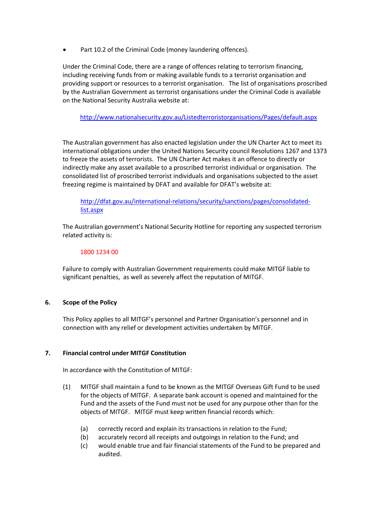Part 10.2 of the Criminal Code (money laundering offences).

Under the Criminal Code, there are a range of offences relating to terrorism financing, including receiving funds from or making available funds to a terrorist organisation and providing support or resources to a terrorist organisation. The list of organisations proscribed by the Australian Government as terrorist organisations under the Criminal Code is available on the National Security Australia website at:

<http://www.nationalsecurity.gov.au/Listedterroristorganisations/Pages/default.aspx>

The Australian government has also enacted legislation under the UN Charter Act to meet its international obligations under the United Nations Security council Resolutions 1267 and 1373 to freeze the assets of terrorists. The UN Charter Act makes it an offence to directly or indirectly make any asset available to a proscribed terrorist individual or organisation. The consolidated list of proscribed terrorist individuals and organisations subjected to the asset freezing regime is maintained by DFAT and available for DFAT's website at:

[http://dfat.gov.au/international-relations/security/sanctions/pages/consolidated](http://dfat.gov.au/international-relations/security/sanctions/pages/consolidated-list.aspx)[list.aspx](http://dfat.gov.au/international-relations/security/sanctions/pages/consolidated-list.aspx)

The Australian government's National Security Hotline for reporting any suspected terrorism related activity is:

#### 1800 1234 00

Failure to comply with Australian Government requirements could make MITGF liable to significant penalties, as well as severely affect the reputation of MITGF.

#### **6. Scope of the Policy**

This Policy applies to all MITGF's personnel and Partner Organisation's personnel and in connection with any relief or development activities undertaken by MITGF.

#### **7. Financial control under MITGF Constitution**

In accordance with the Constitution of MITGF:

- (1) MITGF shall maintain a fund to be known as the MITGF Overseas Gift Fund to be used for the objects of MITGF. A separate bank account is opened and maintained for the Fund and the assets of the Fund must not be used for any purpose other than for the objects of MITGF. MITGF must keep written financial records which:
	- (a) correctly record and explain its transactions in relation to the Fund;
	- (b) accurately record all receipts and outgoings in relation to the Fund; and
	- (c) would enable true and fair financial statements of the Fund to be prepared and audited.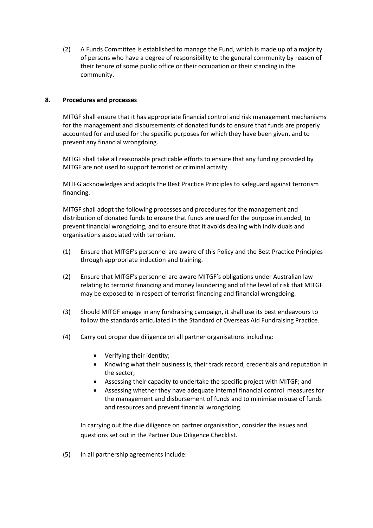(2) A Funds Committee is established to manage the Fund, which is made up of a majority of persons who have a degree of responsibility to the general community by reason of their tenure of some public office or their occupation or their standing in the community.

#### **8. Procedures and processes**

MITGF shall ensure that it has appropriate financial control and risk management mechanisms for the management and disbursements of donated funds to ensure that funds are properly accounted for and used for the specific purposes for which they have been given, and to prevent any financial wrongdoing.

MITGF shall take all reasonable practicable efforts to ensure that any funding provided by MITGF are not used to support terrorist or criminal activity.

MITFG acknowledges and adopts the Best Practice Principles to safeguard against terrorism financing.

MITGF shall adopt the following processes and procedures for the management and distribution of donated funds to ensure that funds are used for the purpose intended, to prevent financial wrongdoing, and to ensure that it avoids dealing with individuals and organisations associated with terrorism.

- (1) Ensure that MITGF's personnel are aware of this Policy and the Best Practice Principles through appropriate induction and training.
- (2) Ensure that MITGF's personnel are aware MITGF's obligations under Australian law relating to terrorist financing and money laundering and of the level of risk that MITGF may be exposed to in respect of terrorist financing and financial wrongdoing.
- (3) Should MITGF engage in any fundraising campaign, it shall use its best endeavours to follow the standards articulated in the Standard of Overseas Aid Fundraising Practice.
- (4) Carry out proper due diligence on all partner organisations including:
	- Verifying their identity;
	- Knowing what their business is, their track record, credentials and reputation in the sector;
	- Assessing their capacity to undertake the specific project with MITGF; and
	- Assessing whether they have adequate internal financial control measures for the management and disbursement of funds and to minimise misuse of funds and resources and prevent financial wrongdoing.

In carrying out the due diligence on partner organisation, consider the issues and questions set out in the Partner Due Diligence Checklist.

(5) In all partnership agreements include: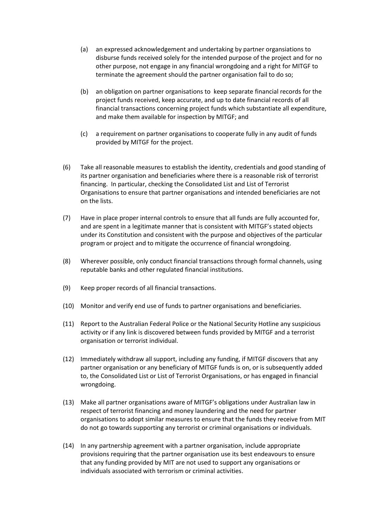- (a) an expressed acknowledgement and undertaking by partner organsiations to disburse funds received solely for the intended purpose of the project and for no other purpose, not engage in any financial wrongdoing and a right for MITGF to terminate the agreement should the partner organisation fail to do so;
- (b) an obligation on partner organisations to keep separate financial records for the project funds received, keep accurate, and up to date financial records of all financial transactions concerning project funds which substantiate all expenditure, and make them available for inspection by MITGF; and
- (c) a requirement on partner organisations to cooperate fully in any audit of funds provided by MITGF for the project.
- (6) Take all reasonable measures to establish the identity, credentials and good standing of its partner organisation and beneficiaries where there is a reasonable risk of terrorist financing. In particular, checking the Consolidated List and List of Terrorist Organisations to ensure that partner organisations and intended beneficiaries are not on the lists.
- (7) Have in place proper internal controls to ensure that all funds are fully accounted for, and are spent in a legitimate manner that is consistent with MITGF's stated objects under its Constitution and consistent with the purpose and objectives of the particular program or project and to mitigate the occurrence of financial wrongdoing.
- (8) Wherever possible, only conduct financial transactions through formal channels, using reputable banks and other regulated financial institutions.
- (9) Keep proper records of all financial transactions.
- (10) Monitor and verify end use of funds to partner organisations and beneficiaries.
- (11) Report to the Australian Federal Police or the National Security Hotline any suspicious activity or if any link is discovered between funds provided by MITGF and a terrorist organisation or terrorist individual.
- (12) Immediately withdraw all support, including any funding, if MITGF discovers that any partner organisation or any beneficiary of MITGF funds is on, or is subsequently added to, the Consolidated List or List of Terrorist Organisations, or has engaged in financial wrongdoing.
- (13) Make all partner organisations aware of MITGF's obligations under Australian law in respect of terrorist financing and money laundering and the need for partner organisations to adopt similar measures to ensure that the funds they receive from MIT do not go towards supporting any terrorist or criminal organisations or individuals.
- (14) In any partnership agreement with a partner organisation, include appropriate provisions requiring that the partner organisation use its best endeavours to ensure that any funding provided by MIT are not used to support any organisations or individuals associated with terrorism or criminal activities.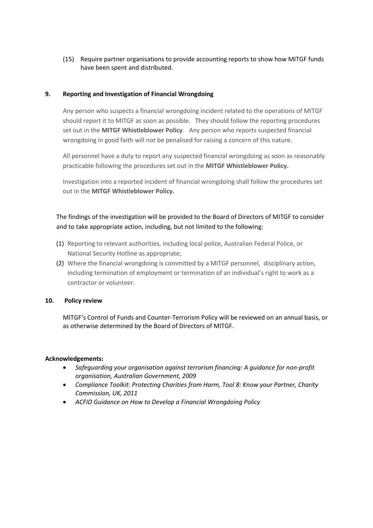(15) Require partner organisations to provide accounting reports to show how MITGF funds have been spent and distributed.

#### **9. Reporting and Investigation of Financial Wrongdoing**

Any person who suspects a financial wrongdoing incident related to the operations of MITGF should report it to MITGF as soon as possible. They should follow the reporting procedures set out in the **MITGF Whistleblower Policy**. Any person who reports suspected financial wrongdoing in good faith will not be penalised for raising a concern of this nature.

All personnel have a duty to report any suspected financial wrongdoing as soon as reasonably practicable following the procedures set out in the **MITGF Whistleblower Policy.** 

Investigation into a reported incident of financial wrongdoing shall follow the procedures set out in the **MITGF Whistleblower Policy.** 

### The findings of the investigation will be provided to the Board of Directors of MITGF to consider and to take appropriate action, including, but not limited to the following:

- (1) Reporting to relevant authorities, including local police, Australian Federal Police, or National Security Hotline as appropriate;
- (2) Where the financial wrongdoing is committed by a MITGF personnel, disciplinary action, including termination of employment or termination of an individual's right to work as a contractor or volunteer.

#### **10. Policy review**

MITGF's Control of Funds and Counter-Terrorism Policy will be reviewed on an annual basis, or as otherwise determined by the Board of Directors of MITGF.

#### **Acknowledgements:**

- *Safeguarding your organisation against terrorism financing: A guidance for non-profit organisation, Australian Government, 2009*
- *Compliance Toolkit: Protecting Charities from Harm, Tool 8: Know your Partner, Charity Commission, UK, 2011*
- *ACFID Guidance on How to Develop a Financial Wrongdoing Policy*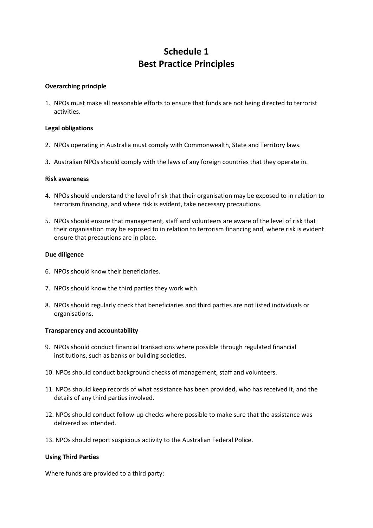## **Schedule 1 Best Practice Principles**

#### **Overarching principle**

1. NPOs must make all reasonable efforts to ensure that funds are not being directed to terrorist activities.

#### **Legal obligations**

- 2. NPOs operating in Australia must comply with Commonwealth, State and Territory laws.
- 3. Australian NPOs should comply with the laws of any foreign countries that they operate in.

#### **Risk awareness**

- 4. NPOs should understand the level of risk that their organisation may be exposed to in relation to terrorism financing, and where risk is evident, take necessary precautions.
- 5. NPOs should ensure that management, staff and volunteers are aware of the level of risk that their organisation may be exposed to in relation to terrorism financing and, where risk is evident ensure that precautions are in place.

#### **Due diligence**

- 6. NPOs should know their beneficiaries.
- 7. NPOs should know the third parties they work with.
- 8. NPOs should regularly check that beneficiaries and third parties are not listed individuals or organisations.

#### **Transparency and accountability**

- 9. NPOs should conduct financial transactions where possible through regulated financial institutions, such as banks or building societies.
- 10. NPOs should conduct background checks of management, staff and volunteers.
- 11. NPOs should keep records of what assistance has been provided, who has received it, and the details of any third parties involved.
- 12. NPOs should conduct follow-up checks where possible to make sure that the assistance was delivered as intended.
- 13. NPOs should report suspicious activity to the Australian Federal Police.

#### **Using Third Parties**

Where funds are provided to a third party: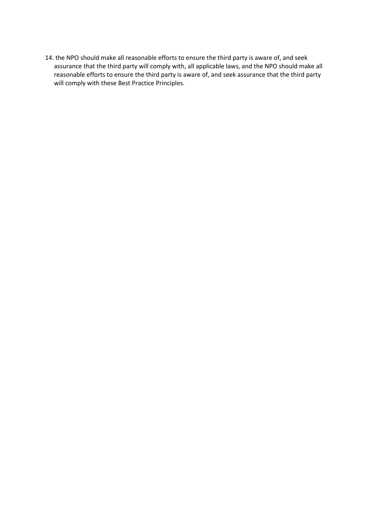14. the NPO should make all reasonable efforts to ensure the third party is aware of, and seek assurance that the third party will comply with, all applicable laws, and the NPO should make all reasonable efforts to ensure the third party is aware of, and seek assurance that the third party will comply with these Best Practice Principles.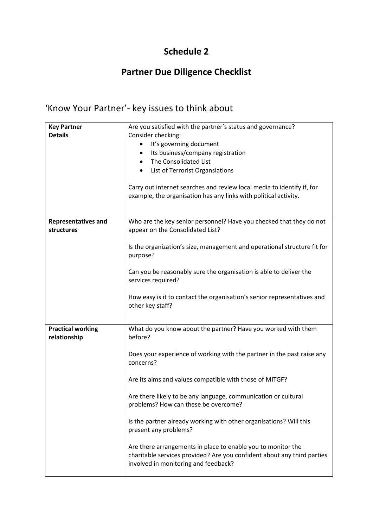## **Schedule 2**

## **Partner Due Diligence Checklist**

# 'Know Your Partner'- key issues to think about

| <b>Key Partner</b>                       | Are you satisfied with the partner's status and governance?                                                                                                                     |
|------------------------------------------|---------------------------------------------------------------------------------------------------------------------------------------------------------------------------------|
| <b>Details</b>                           | Consider checking:                                                                                                                                                              |
|                                          | It's governing document                                                                                                                                                         |
|                                          | Its business/company registration<br>٠                                                                                                                                          |
|                                          | The Consolidated List<br>$\bullet$                                                                                                                                              |
|                                          | List of Terrorist Organsiations<br>٠                                                                                                                                            |
|                                          |                                                                                                                                                                                 |
|                                          | Carry out internet searches and review local media to identify if, for<br>example, the organisation has any links with political activity.                                      |
| <b>Representatives and</b><br>structures | Who are the key senior personnel? Have you checked that they do not<br>appear on the Consolidated List?                                                                         |
|                                          | Is the organization's size, management and operational structure fit for<br>purpose?                                                                                            |
|                                          | Can you be reasonably sure the organisation is able to deliver the<br>services required?                                                                                        |
|                                          | How easy is it to contact the organisation's senior representatives and<br>other key staff?                                                                                     |
|                                          |                                                                                                                                                                                 |
| <b>Practical working</b><br>relationship | What do you know about the partner? Have you worked with them<br>before?                                                                                                        |
|                                          | Does your experience of working with the partner in the past raise any<br>concerns?                                                                                             |
|                                          | Are its aims and values compatible with those of MITGF?                                                                                                                         |
|                                          | Are there likely to be any language, communication or cultural<br>problems? How can these be overcome?                                                                          |
|                                          | Is the partner already working with other organisations? Will this<br>present any problems?                                                                                     |
|                                          | Are there arrangements in place to enable you to monitor the<br>charitable services provided? Are you confident about any third parties<br>involved in monitoring and feedback? |